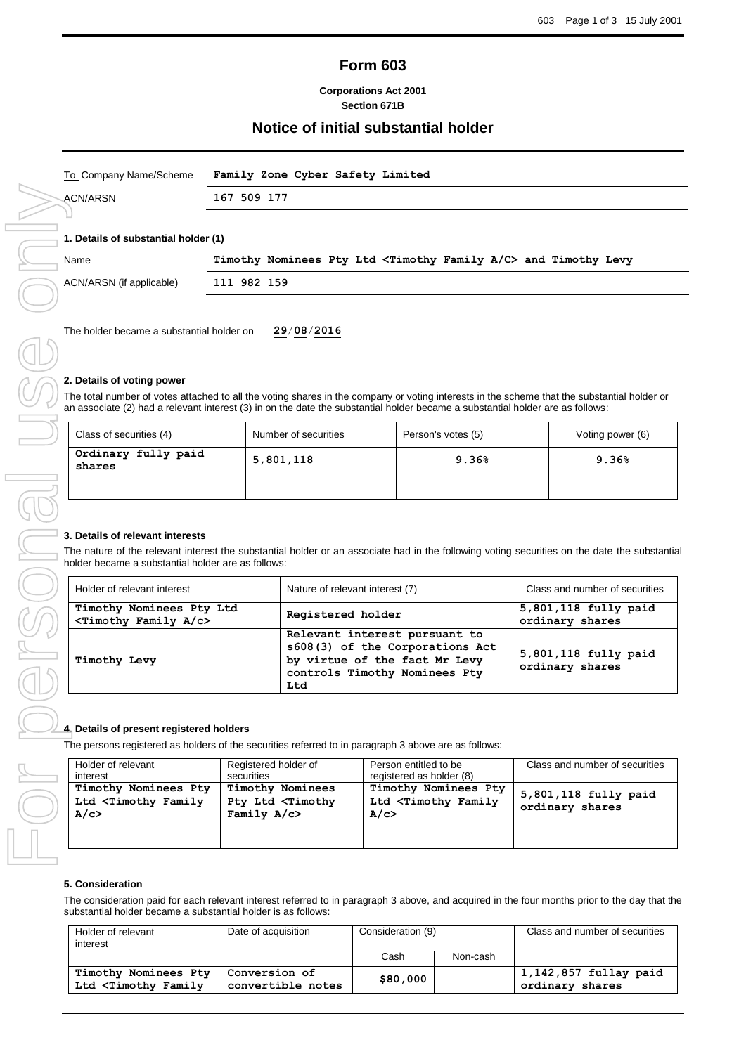# **Form 603**

#### **Corporations Act 2001 Section 671B**

## **Notice of initial substantial holder**

| To Company Name/Scheme               | Family Zone Cyber Safety Limited                                                  |
|--------------------------------------|-----------------------------------------------------------------------------------|
| ACN/ARSN                             | 167 509 177                                                                       |
| 1. Details of substantial holder (1) |                                                                                   |
| Name                                 | Timothy Nominees Pty Ltd <timothy a="" c="" family=""> and Timothy Levy</timothy> |
| ACN/ARSN (if applicable)             | 111 982 159                                                                       |
|                                      |                                                                                   |

The holder became a substantial holder on **29**/**08**/**2016**

#### **2. Details of voting power**

The total number of votes attached to all the voting shares in the company or voting interests in the scheme that the substantial holder or an associate (2) had a relevant interest (3) in on the date the substantial holder became a substantial holder are as follows:

| Class of securities (4)       | Number of securities | Person's votes (5) | Voting power (6) |
|-------------------------------|----------------------|--------------------|------------------|
| Ordinary fully paid<br>shares | 5,801,118            | 9.36%              | 9.36%            |
|                               |                      |                    |                  |

### **3. Details of relevant interests**

The nature of the relevant interest the substantial holder or an associate had in the following voting securities on the date the substantial holder became a substantial holder are as follows:

| Holder of relevant interest                                         | Nature of relevant interest (7)                                                                                                           | Class and number of securities          |
|---------------------------------------------------------------------|-------------------------------------------------------------------------------------------------------------------------------------------|-----------------------------------------|
| Timothy Nominees Pty Ltd<br><timothy a="" c="" family=""></timothy> | Registered holder                                                                                                                         | 5,801,118 fully paid<br>ordinary shares |
| Timothy Levy                                                        | Relevant interest pursuant to<br>s608(3) of the Corporations Act<br>by virtue of the fact Mr Levy<br>controls Timothy Nominees Pty<br>Ltd | 5,801,118 fully paid<br>ordinary shares |

### **4. Details of present registered holders**

The persons registered as holders of the securities referred to in paragraph 3 above are as follows:

| Holder of relevant<br>interest                                  | Registered holder of<br>securities                                           | Person entitled to be<br>registered as holder (8)               | Class and number of securities          |
|-----------------------------------------------------------------|------------------------------------------------------------------------------|-----------------------------------------------------------------|-----------------------------------------|
| Timothy Nominees Pty<br>Ltd <timothy family<br="">A/c</timothy> | Timothy Nominees<br>Pty Ltd <timothy<br>Family <math>A/c</math></timothy<br> | Timothy Nominees Pty<br>Ltd <timothy family<br="">A/c</timothy> | 5,801,118 fully paid<br>ordinary shares |
|                                                                 |                                                                              |                                                                 |                                         |

### **5. Consideration**

The consideration paid for each relevant interest referred to in paragraph 3 above, and acquired in the four months prior to the day that the substantial holder became a substantial holder is as follows:

| Holder of relevant<br>interest                                                                                                                                                                          | Date of acquisition                | Consideration (9) |          | Class and number of securities             |
|---------------------------------------------------------------------------------------------------------------------------------------------------------------------------------------------------------|------------------------------------|-------------------|----------|--------------------------------------------|
|                                                                                                                                                                                                         |                                    | Cash              | Non-cash |                                            |
| Timothy Nominees Pty<br>Ltd <timothy family<="" td=""><td>  Conversion of<br/>convertible notes</td><td>\$80,000</td><td></td><td><math>1,142,857</math> fullay paid<br/>ordinary shares</td></timothy> | Conversion of<br>convertible notes | \$80,000          |          | $1,142,857$ fullay paid<br>ordinary shares |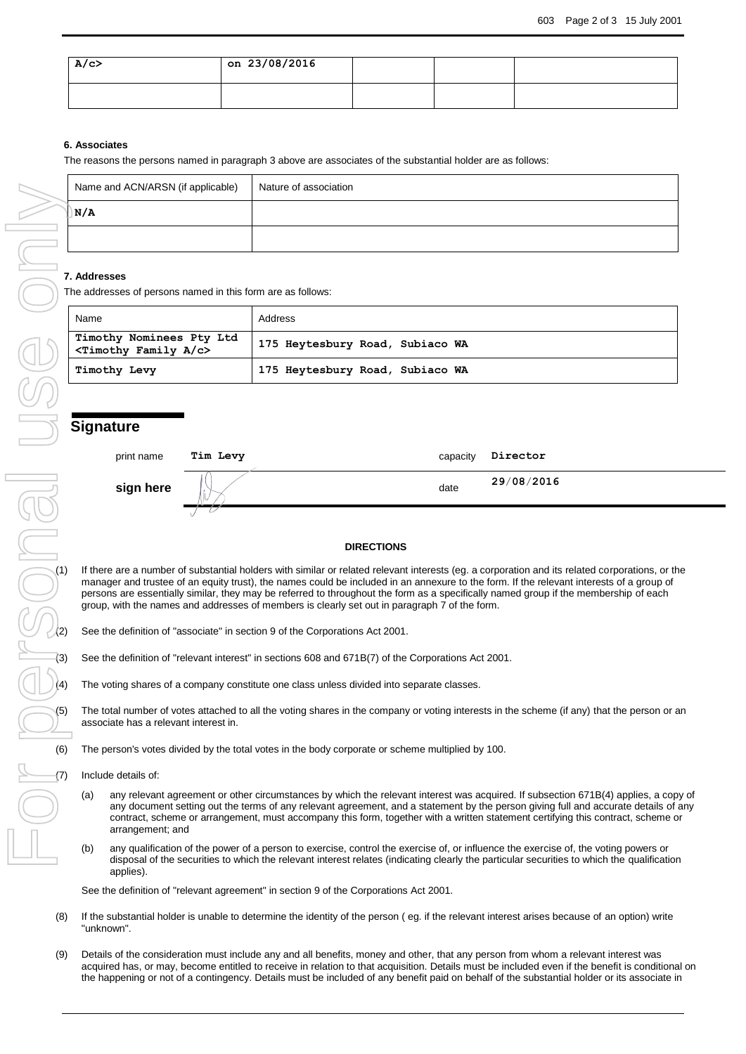| A/c | on 23/08/2016 |  |  |
|-----|---------------|--|--|
|     |               |  |  |

#### **6. Associates**

The reasons the persons named in paragraph 3 above are associates of the substantial holder are as follows:

| Name and ACN/ARSN (if applicable) | Nature of association |
|-----------------------------------|-----------------------|
| DN/A                              |                       |
|                                   |                       |

#### **7. Addresses**

The addresses of persons named in this form are as follows:

| Name                                                  | Address                         |
|-------------------------------------------------------|---------------------------------|
| Timothy Nominees Pty Ltd<br>$\tau$ imothy Family A/c> | 175 Heytesbury Road, Subiaco WA |
| Timothy Levy                                          | 175 Heytesbury Road, Subiaco WA |

### **Signature**

| print name | Tim Levy | capacity | Director   |
|------------|----------|----------|------------|
| sign here  |          | date     | 29/08/2016 |
|            |          |          |            |

#### **DIRECTIONS**

**DIRECTIONS**<br>
If there are a number of substantial holders with similar or related relevant interests (eg. a corporation and its related corporations, or the<br>
manager and trustee of an equity trust), the names could be inc manager and trustee of an equity trust), the names could be included in an annexure to the form. If the relevant interests of a group of persons are essentially similar, they may be referred to throughout the form as a specifically named group if the membership of each group, with the names and addresses of members is clearly set out in paragraph 7 of the form.

- See the definition of "associate" in section 9 of the Corporations Act 2001.
- See the definition of "relevant interest" in sections 608 and 671B(7) of the Corporations Act 2001.
- The voting shares of a company constitute one class unless divided into separate classes.

The total number of votes attached to all the voting shares in the company or voting interests in the scheme (if any) that the person or an associate has a relevant interest in.

(6) The person's votes divided by the total votes in the body corporate or scheme multiplied by 100.

Include details of:

- (a) any relevant agreement or other circumstances by which the relevant interest was acquired. If subsection 671B(4) applies, a copy of any document setting out the terms of any relevant agreement, and a statement by the person giving full and accurate details of any contract, scheme or arrangement, must accompany this form, together with a written statement certifying this contract, scheme or arrangement; and
- (b) any qualification of the power of a person to exercise, control the exercise of, or influence the exercise of, the voting powers or disposal of the securities to which the relevant interest relates (indicating clearly the particular securities to which the qualification applies).

See the definition of "relevant agreement" in section 9 of the Corporations Act 2001.

- (8) If the substantial holder is unable to determine the identity of the person ( eg. if the relevant interest arises because of an option) write "unknown".
- (9) Details of the consideration must include any and all benefits, money and other, that any person from whom a relevant interest was acquired has, or may, become entitled to receive in relation to that acquisition. Details must be included even if the benefit is conditional on the happening or not of a contingency. Details must be included of any benefit paid on behalf of the substantial holder or its associate in